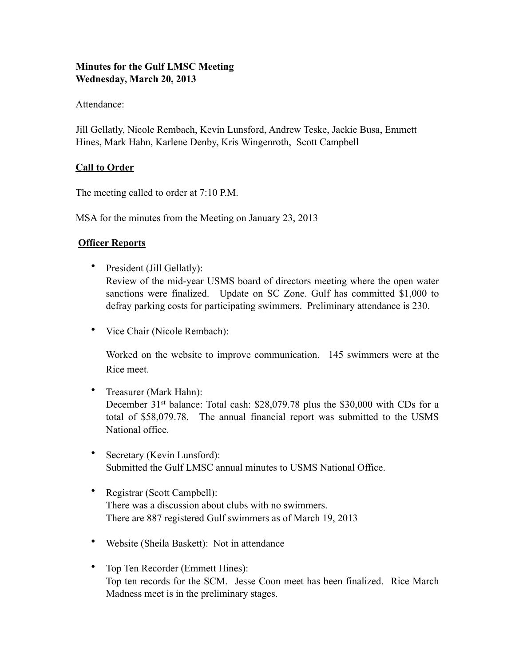# **Minutes for the Gulf LMSC Meeting Wednesday, March 20, 2013**

Attendance:

Jill Gellatly, Nicole Rembach, Kevin Lunsford, Andrew Teske, Jackie Busa, Emmett Hines, Mark Hahn, Karlene Denby, Kris Wingenroth, Scott Campbell

# **Call to Order**

The meeting called to order at 7:10 P.M.

MSA for the minutes from the Meeting on January 23, 2013

# **Officer Reports**

• President (Jill Gellatly):

Review of the mid-year USMS board of directors meeting where the open water sanctions were finalized. Update on SC Zone. Gulf has committed \$1,000 to defray parking costs for participating swimmers. Preliminary attendance is 230.

• Vice Chair (Nicole Rembach):

Worked on the website to improve communication. 145 swimmers were at the Rice meet.

- Treasurer (Mark Hahn): December 31<sup>st</sup> balance: Total cash: \$28,079.78 plus the \$30,000 with CDs for a total of \$58,079.78. The annual financial report was submitted to the USMS National office.
- Secretary (Kevin Lunsford): Submitted the Gulf LMSC annual minutes to USMS National Office.
- Registrar (Scott Campbell): There was a discussion about clubs with no swimmers. There are 887 registered Gulf swimmers as of March 19, 2013
- Website (Sheila Baskett): Not in attendance
- Top Ten Recorder (Emmett Hines): Top ten records for the SCM. Jesse Coon meet has been finalized. Rice March Madness meet is in the preliminary stages.